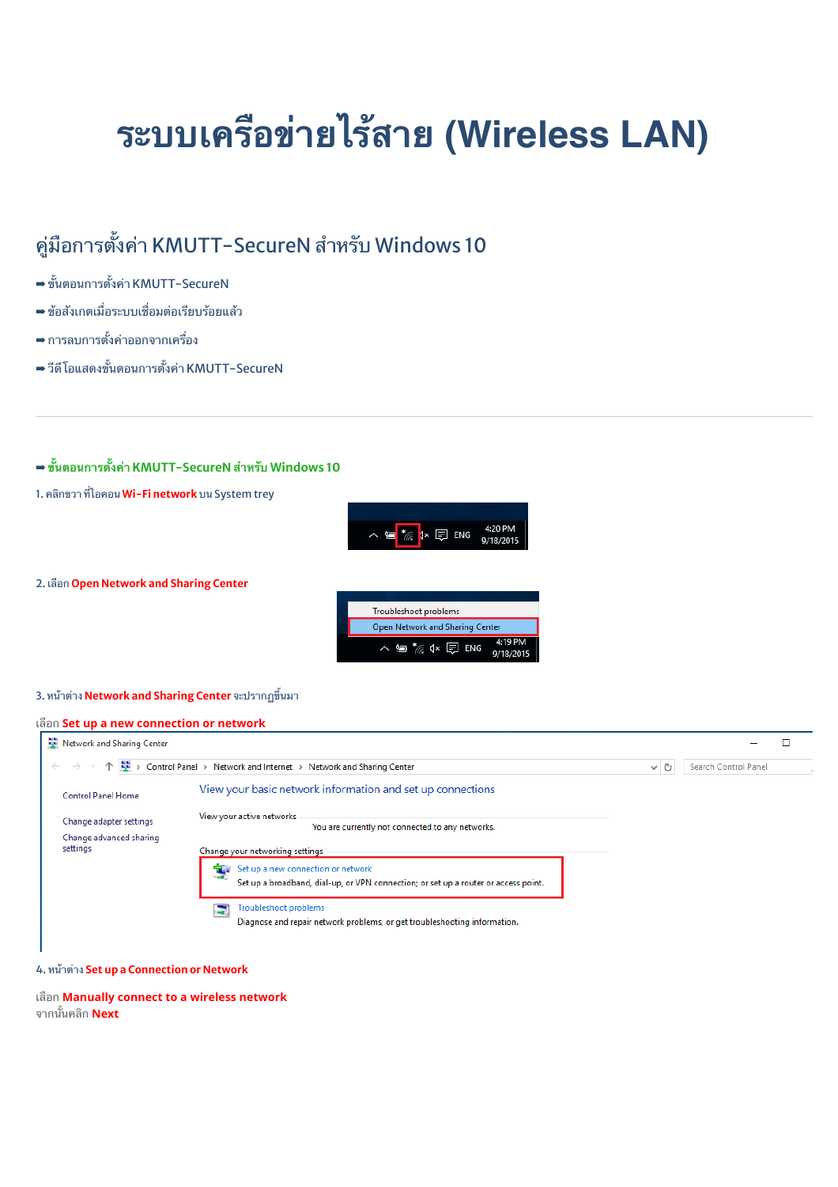# **ระบบเครอขายไรสาย (Wireless LAN)**

# คู่มือการตั้งค่า KMUTT-SecureN สำหรับ Windows 10

- ➡ ขั้นตอนการตั้งค่า KMUTT-SecureN
- ➡ ข้อสังเกตเมื่อระบบเชื่อมต่อเรียบร้อยแล้ว
- $\rightarrow$ การลบการตั้งค่าออกจากเครื่อง
- ➡ วีดี โอแสดงขั้นตอนการตั้งค่า KMUTT-SecureN

# $\rightarrow$ ขั้นตอนการตั้งค่า KMUTT-SecureN สำหรับ Windows 10

1. คลิกขวา ที่ไอคอน **Wi-Fi network** บน System trey



#### 2. เลือก Open Network and Sharing Center



#### 3. หน้าต่าง Network and Sharing Center จะปรากฏขึ้นมา

| Network and Sharing Center          |                                                                                                                           |          |                      |
|-------------------------------------|---------------------------------------------------------------------------------------------------------------------------|----------|----------------------|
| $\leftarrow$<br>$\rightarrow$       | ↑ $\frac{11}{22}$ > Control Panel > Network and Internet > Network and Sharing Center                                     | $\sim$ 0 | Search Control Panel |
| <b>Control Panel Home</b>           | View your basic network information and set up connections                                                                |          |                      |
| Change adapter settings             | View your active networks<br>You are currently not connected to any networks.                                             |          |                      |
| Change advanced sharing<br>settings | Change your networking settings                                                                                           |          |                      |
|                                     | Set up a new connection or network<br>Set up a broadband, dial-up, or VPN connection; or set up a router or access point. |          |                      |
|                                     | Troubleshoot problems<br>Ξ<br>Diagnose and repair network problems, or get troubleshooting information.                   |          |                      |

4. หน้าต่าง **Set up a Connection or Network** 

เRอก **Manually connect to a wireless network** ี<br>จากนั้นคลิก **Next**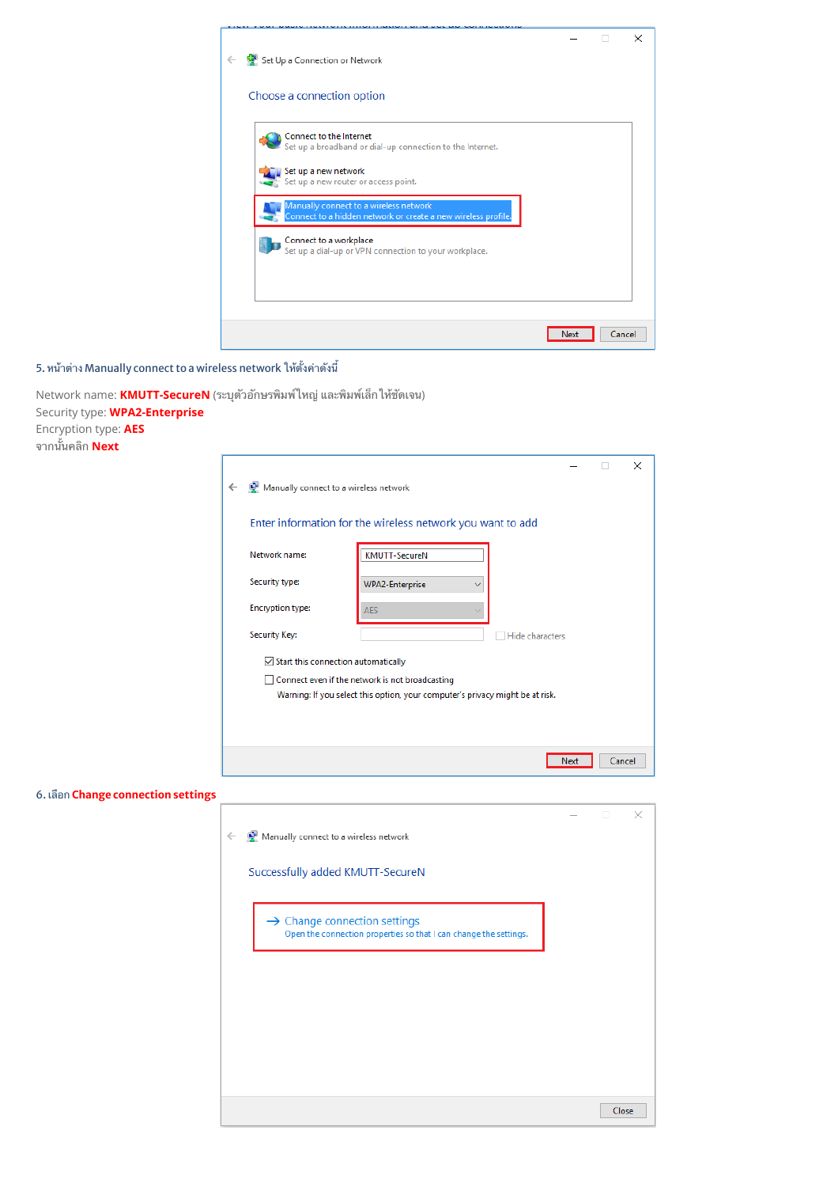

#### 5. หน้าต่าง Manually connect to a wireless network ให้ตั้งค่าดังนี้

|                                       | Network name: KMUTT-SecureN (ระบุตัวอักษรพิมพ์ใหญ่ และพิมพ์เล็กให้ชัดเจน) |
|---------------------------------------|---------------------------------------------------------------------------|
| Security type: <b>WPA2-Enterprise</b> |                                                                           |
| Encryption type: AES                  |                                                                           |
| จากนั้นคลิก <mark>Next</mark>         |                                                                           |
|                                       |                                                                           |

| Network name:           | <b>KMUTT-SecureN</b>                                                          |
|-------------------------|-------------------------------------------------------------------------------|
| Security type:          | WPA2-Enterprise                                                               |
| <b>Encryption type:</b> | <b>AES</b>                                                                    |
| Security Key:           | <b>Hide characters</b>                                                        |
|                         | $\sqrt{\ }$ Start this connection automatically                               |
|                         | Connect even if the network is not broadcasting                               |
|                         | Warning: If you select this option, your computer's privacy might be at risk. |

#### 6. เลือก Change connection settings

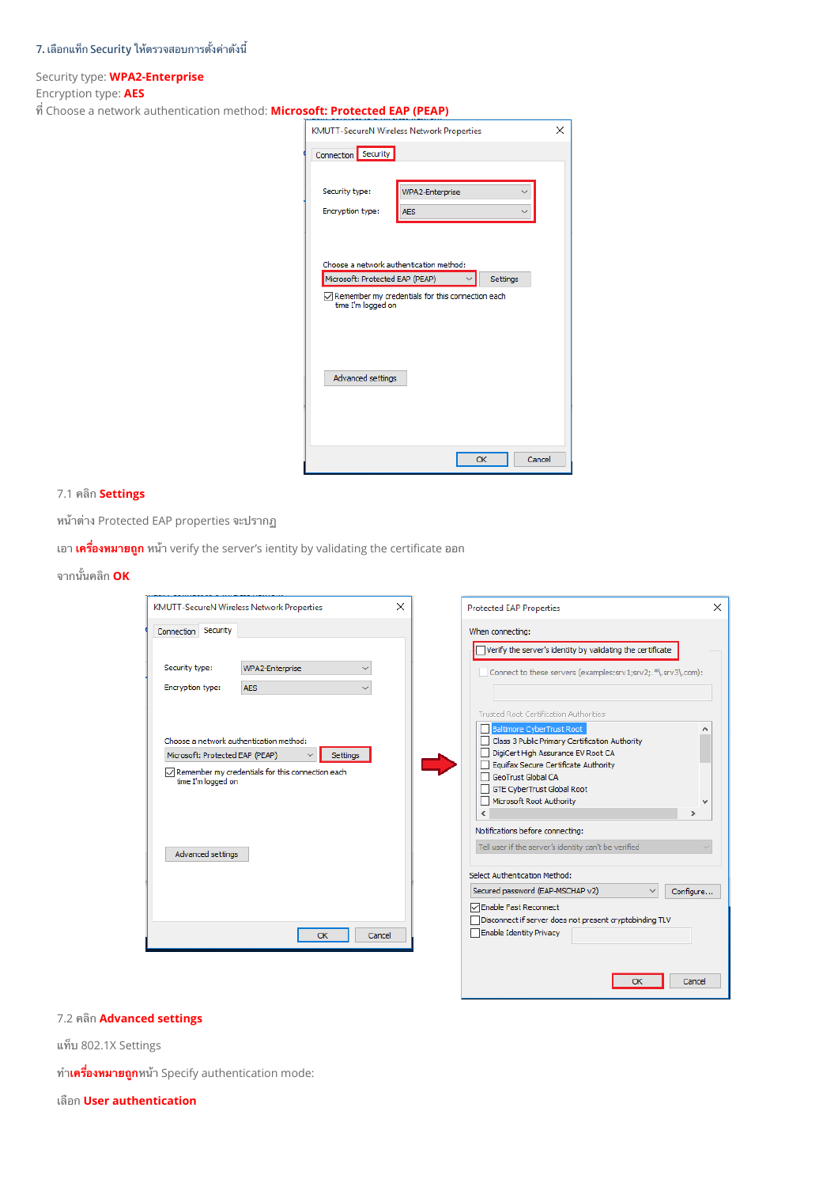## 7. เลือกแท็ก Security ให้ตรวจสอบการตั้งค่าดังนี้

# Security type: **WPA2-Enterprise**

| Encryption type: AES |  |
|----------------------|--|
|----------------------|--|

P Choose a network authentication method: **Microsoft: Protected EAP (PEAP)**

| SOTT: Protected EAP (PEAP)                                                                                                                           |   |  |  |
|------------------------------------------------------------------------------------------------------------------------------------------------------|---|--|--|
| <b>KMUTT-SecureN Wireless Network Properties</b>                                                                                                     | × |  |  |
| Connection Security                                                                                                                                  |   |  |  |
| Security type:<br>WPA2-Enterprise<br>Encryption type:<br><b>AES</b>                                                                                  |   |  |  |
| Choose a network authentication method:<br>Microsoft: Protected EAP (PEAP)<br>Settings<br>$\sqrt{}$ Remember my credentials for this connection each |   |  |  |
| time I'm logged on                                                                                                                                   |   |  |  |
| Advanced settings                                                                                                                                    |   |  |  |
| OK<br>Cancel                                                                                                                                         |   |  |  |

## 7.1 คลิก **Settings**

หน้าต่าง Protected EAP properties จะปรากฏ

ี **เอา เครื่องหมายถูก** หน้า verify the server's ientity by validating the certificate ออก

# จากนั้นคลิก **OK**

| <b>KMUTT-SecureN Wireless Network Properties</b>                                                                                                                           | $\times$ | <b>Protected EAP Properties</b>                                                                                                                                                                                                                                                                                                                                                | $\times$ |
|----------------------------------------------------------------------------------------------------------------------------------------------------------------------------|----------|--------------------------------------------------------------------------------------------------------------------------------------------------------------------------------------------------------------------------------------------------------------------------------------------------------------------------------------------------------------------------------|----------|
| Connection Security<br>Security type:<br>WPA2-Enterprise<br>$\checkmark$                                                                                                   |          | When connecting:<br>Verify the server's identity by validating the certificate                                                                                                                                                                                                                                                                                                 |          |
| Encryption type:<br><b>AES</b><br>$\checkmark$                                                                                                                             |          | Connect to these servers (examples:srv1;srv2;.*\.srv3\.com):<br>Trusted Root Certification Authorities:                                                                                                                                                                                                                                                                        |          |
| Choose a network authentication method:<br>Microsoft: Protected EAP (PEAP)<br>Settings<br>$\sqrt{}$ Remember my credentials for this connection each<br>time I'm logged on |          | <b>Baltimore CyberTrust Root</b><br>Class 3 Public Primary Certification Authority<br>DigiCert High Assurance EV Root CA<br>Equifax Secure Certificate Authority<br><b>GeoTrust Global CA</b><br>GTE CyberTrust Global Root<br>Microsoft Root Authority<br>v<br>$\rightarrow$<br>∢<br>Notifications before connecting:<br>Tell user if the server's identity can't be verified |          |
| Advanced settings<br>OK<br>Cancel                                                                                                                                          |          | Select Authentication Method:<br>Secured password (EAP-MSCHAP v2)<br>Configure<br><b><del>○</del></b> Enable Fast Reconnect<br>Disconnect if server does not present cryptobinding TLV<br>Enable Identity Privacy                                                                                                                                                              |          |
|                                                                                                                                                                            |          | OK<br>Cancel                                                                                                                                                                                                                                                                                                                                                                   |          |

## 7.2 คลิก **Advanced settings**

ูแท็บ 802.1X Settings

j**เค1องหมาย4ก**หSา Specify authentication mode:

เRอก **User authentication**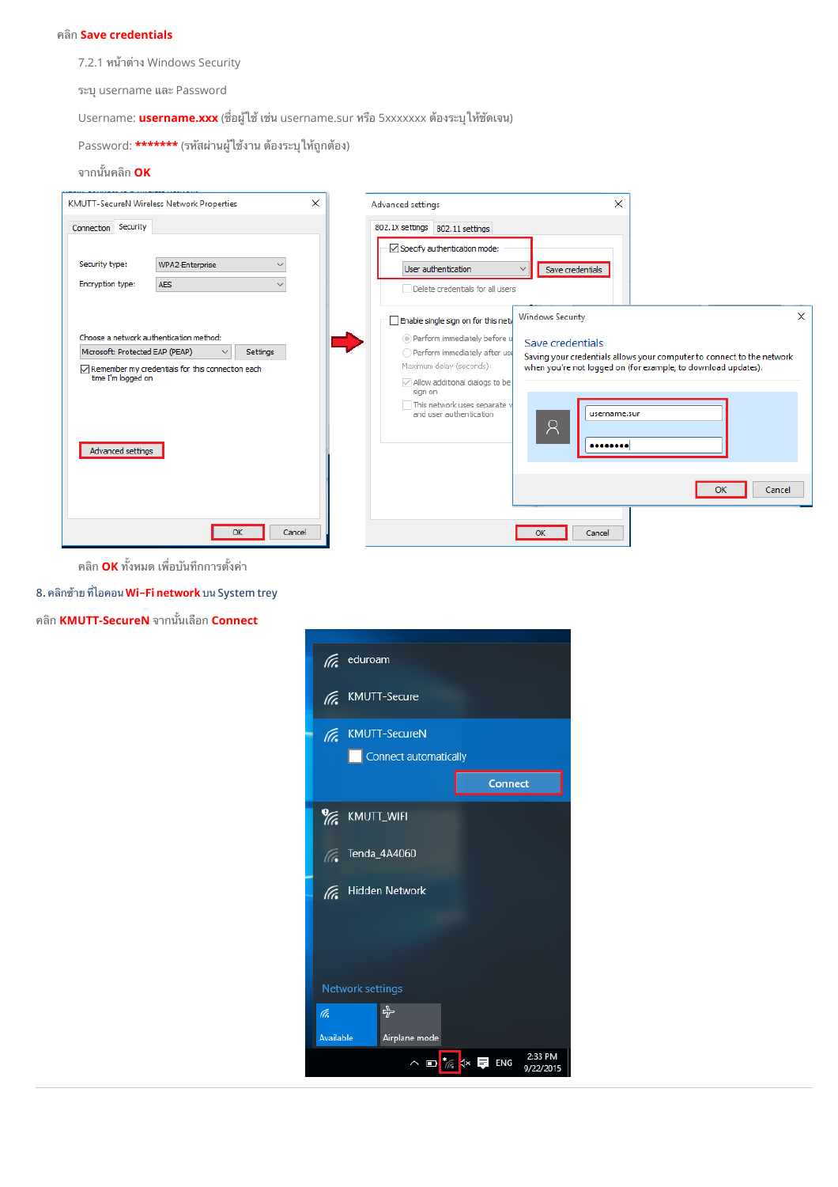#### คลิก Save credentials

7.2.1 หน้าต่าง Windows Security

ระบุ username และ Password

Username: username.xxx (ชื่อผู้ใช้ เช่น username.sur หรือ 5xxxxxxx ต้องระบุ ให้ชัดเจน)

Password: \*\*\*\*\*\*\* (รหัสผ่านผู้ใช้งาน ต้องระบุให้ถูกต้อง)

#### ิจากนั้นคลิก **OK**



ุ คลิก **OK** ทั้งหมด เพื่อบันทึกการตั้งค่า

8. คลิกซ้าย ที่ไอคอน Wi-Fi network บน System trey

คลิก KMUTT-SecureN จากนั้นเลือก Connect

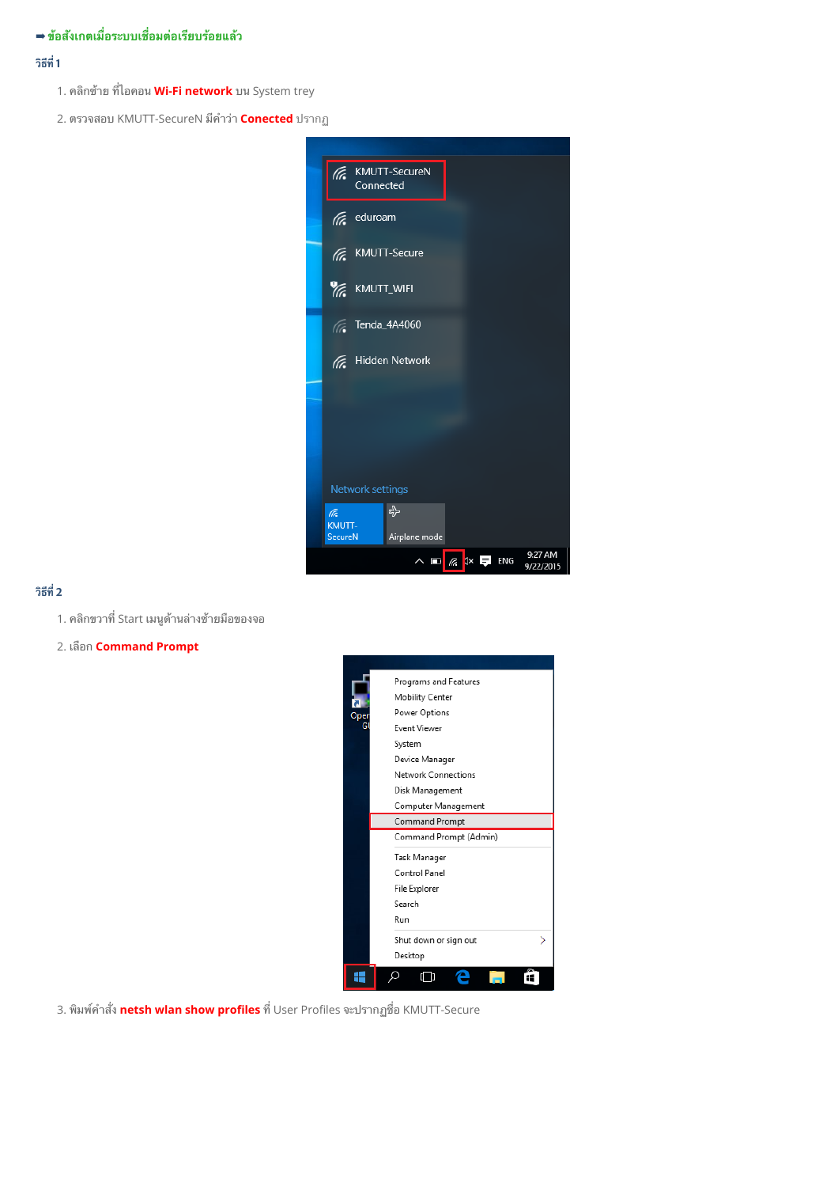# ⇒ข้อสังเกตเมื่อระบบเชื่อมต่อเรียบร้อยแล้ว

#### วิธีที่ 1

- 1. คลิกซ้าย ที่ไอคอน Wi-Fi network บน System trey
- 2. ตรวจสอบ KMUTT-SecureN มีคำว่า Conected ปรากภ



## วิธีที่ 2

- 1. คลิกขวาที่ Start เมนูด้านล่างซ้ายมือของจอ
- 2. เลือก Command Prompt



3. พิมพ์คำสั่ง netsh wlan show profiles ที่ User Profiles จะปรากฏชื่อ KMUTT-Secure